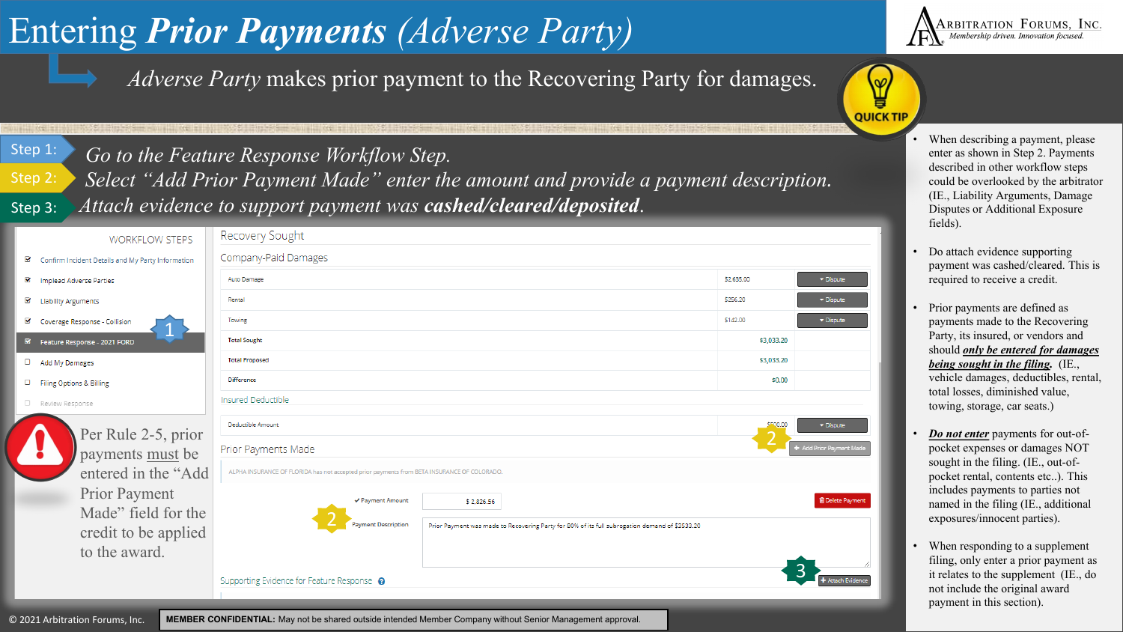## Entering *Prior Payments (Adverse Party)*



*Adverse Party* makes prior payment to the Recovering Party for damages.



Go to the Feature Response Workflow Step. **•• When describing a payment, please** there as shown in Step 2. Payments

*Select "Add Prior Payment Made" enter the amount and provide a payment description. Attach evidence to support payment was cashed/cleared/deposited*. Step 3:

|                         | <b>WORKFLOW STEPS</b>                             | Recovery Sought                                                                                                              |            |   |  |  |  |  |  |
|-------------------------|---------------------------------------------------|------------------------------------------------------------------------------------------------------------------------------|------------|---|--|--|--|--|--|
| K                       | Confirm Incident Details and My Party Information | Company-Paid Damages                                                                                                         |            |   |  |  |  |  |  |
| $\overline{\mathbf{S}}$ | Implead Adverse Parties                           | Auto Damage                                                                                                                  | \$2,635.00 | × |  |  |  |  |  |
| Ø                       | <b>Liability Arguments</b>                        | Rental                                                                                                                       | \$256.20   |   |  |  |  |  |  |
| Ø                       | Coverage Response - Collision                     | Towing                                                                                                                       | \$142.00   |   |  |  |  |  |  |
|                         | Feature Response - 2021 FORD                      | <b>Total Sought</b>                                                                                                          | \$3,033.20 |   |  |  |  |  |  |
| О                       | Add My Damages                                    | <b>Total Proposed</b>                                                                                                        | \$3,033.20 |   |  |  |  |  |  |
| о                       | Filing Options & Billing                          | <b>Difference</b>                                                                                                            | \$0,00     |   |  |  |  |  |  |
|                         | O Review Response                                 | Insured Deductible                                                                                                           |            |   |  |  |  |  |  |
|                         | Per Rule 2-5, prior                               | Deductible Amount                                                                                                            |            |   |  |  |  |  |  |
|                         | payments must be                                  | Prior Payments Made                                                                                                          |            |   |  |  |  |  |  |
|                         | entered in the "Add                               | ALPHA INSURANCE OF FLORIDA has not accepted prior payments from BETA INSURANCE OF COLORADO.                                  |            |   |  |  |  |  |  |
|                         | <b>Prior Payment</b>                              |                                                                                                                              |            |   |  |  |  |  |  |
|                         | Made" field for the                               | ✔ Payment Amount<br>\$2,826.56                                                                                               |            |   |  |  |  |  |  |
|                         | credit to be applied                              | <b>Payment Description</b><br>Prior Payment was made to Recovering Party for 80% of its full subrogation demand of \$3533.20 |            |   |  |  |  |  |  |
|                         | to the award.                                     |                                                                                                                              |            |   |  |  |  |  |  |
|                         |                                                   | Supporting Evidence for Feature Response @                                                                                   |            |   |  |  |  |  |  |
|                         |                                                   |                                                                                                                              |            |   |  |  |  |  |  |
|                         | © 2021 Arbitration Forums, Inc.                   | MEMBER CONFIDENTIAL: May not be shared outside intended Member Company without Senior Management approval.                   |            |   |  |  |  |  |  |



ete Paymen

ttach Evidence

RBITRATION FORUMS, INC. Membership driven. Innovation focused

- enter as shown in Step 2. Payments described in other workflow steps could be overlooked by the arbitrator (IE., Liability Arguments, Damage Disputes or Additional Exposure fields).
- Do attach evidence supporting payment was cashed/cleared. This is required to receive a credit.
- Prior payments are defined as payments made to the Recovering Party, its insured, or vendors and should *only be entered for damages being sought in the filing.* (IE., vehicle damages, deductibles, rental, total losses, diminished value, towing, storage, car seats.)
- *Do not enter* payments for out-ofpocket expenses or damages NOT sought in the filing. (IE., out-ofpocket rental, contents etc..). This includes payments to parties not named in the filing (IE., additional exposures/innocent parties).
- When responding to a supplement filing, only enter a prior payment as it relates to the supplement (IE., do not include the original award payment in this section).